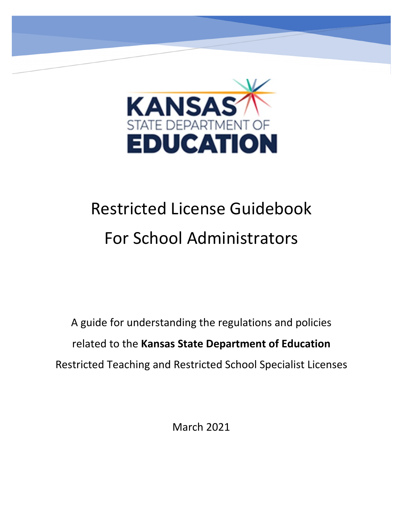

# Restricted License Guidebook For School Administrators

A guide for understanding the regulations and policies related to the **Kansas State Department of Education** Restricted Teaching and Restricted School Specialist Licenses

March 2021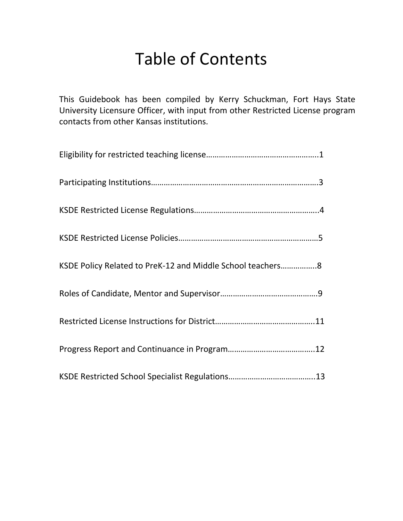# Table of Contents

This Guidebook has been compiled by Kerry Schuckman, Fort Hays State University Licensure Officer, with input from other Restricted License program contacts from other Kansas institutions.

| KSDE Policy Related to PreK-12 and Middle School teachers8 |
|------------------------------------------------------------|
|                                                            |
|                                                            |
|                                                            |
|                                                            |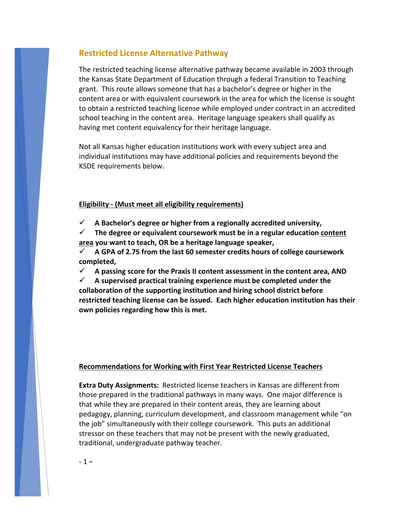# **Restricted License Alternative Pathway**

The restricted teaching license alternative pathway became available in 2003 through the Kansas State Department of Education through a federal Transition to Teaching grant. This route allows someone that has a bachelor's degree or higher in the content area or with equivalent coursework in the area for which the license is sought to obtain a restricted teaching license while employed under contract in an accredited school teaching in the content area. Heritage language speakers shall qualify as having met content equivalency for their heritage language.

Not all Kansas higher education institutions work with every subject area and individual institutions may have additional policies and requirements beyond the KSDE requirements below.

#### **Eligibility - (Must meet all eligibility requirements)**

 $\checkmark$  A Bachelor's degree or higher from a regionally accredited university,

 **The degree or equivalent coursework must be in a regular education [content](https://www.ksde.org/Agency/Division-of-Learning-Services/Teacher-Licensure-and-Accreditation/Postsecondary/Educator-Preparation/Approved-Educator-Preparation-Programs) [area](https://www.ksde.org/Agency/Division-of-Learning-Services/Teacher-Licensure-and-Accreditation/Postsecondary/Educator-Preparation/Approved-Educator-Preparation-Programs) you want to teach, OR be a heritage language speaker,**

 **A GPA of 2.75 from the last 60 semester credits hours of college coursework completed,**

 $\checkmark$  A passing score for the Praxis II content assessment in the content area, AND

 **A supervised practical training experience must be completed under the collaboration of the supporting institution and hiring school district before restricted teaching license can be issued. Each higher education institution has their own policies regarding how this is met.**

#### **Recommendations for Working with First Year Restricted License Teachers**

**Extra Duty Assignments:** Restricted license teachers in Kansas are different from those prepared in the traditional pathways in many ways. One major difference is that while they are prepared in their content areas, they are learning about pedagogy, planning, curriculum development, and classroom management while "on the job" simultaneously with their college coursework. This puts an additional stressor on these teachers that may not be present with the newly graduated, traditional, undergraduate pathway teacher.

 $-1 -$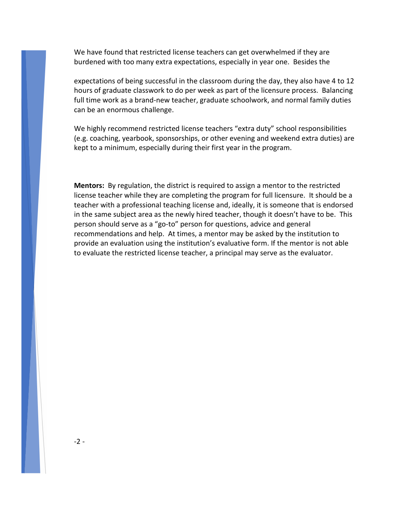We have found that restricted license teachers can get overwhelmed if they are burdened with too many extra expectations, especially in year one. Besides the

expectations of being successful in the classroom during the day, they also have 4 to 12 hours of graduate classwork to do per week as part of the licensure process. Balancing full time work as a brand-new teacher, graduate schoolwork, and normal family duties can be an enormous challenge.

We highly recommend restricted license teachers "extra duty" school responsibilities (e.g. coaching, yearbook, sponsorships, or other evening and weekend extra duties) are kept to a minimum, especially during their first year in the program.

**Mentors:** By regulation, the district is required to assign a mentor to the restricted license teacher while they are completing the program for full licensure. It should be a teacher with a professional teaching license and, ideally, it is someone that is endorsed in the same subject area as the newly hired teacher, though it doesn't have to be. This person should serve as a "go-to" person for questions, advice and general recommendations and help. At times, a mentor may be asked by the institution to provide an evaluation using the institution's evaluative form. If the mentor is not able to evaluate the restricted license teacher, a principal may serve as the evaluator.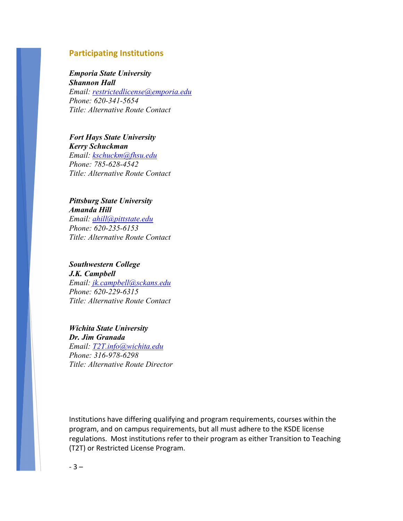# **Participating Institutions**

#### *Emporia State University*

*Shannon Hall Email: [restrictedlicense@emporia.edu](mailto:restrictedlicense@emporia.edu) Phone: 620-341-5654 Title: Alternative Route Contact*

#### *Fort Hays State University Kerry Schuckman*

*Email: [kschuckm@fhsu.edu](mailto:kschuckm@fhsu.edu) Phone: 785-628-4542 Title: Alternative Route Contact*

## *Pittsburg State University Amanda Hill Email: [ahill@pittstate.edu](mailto:ahill@pittstate.edu) Phone: 620-235-6153 Title: Alternative Route Contact*

# *Southwestern College J.K. Campbell*

*Email: [jk.campbell@sckans.edu](mailto:jk.campbell@sckans.edu) Phone: 620-229-6315 Title: Alternative Route Contact*

#### *Wichita State University Dr. Jim Granada Email: [T2T.info@wichita.edu](mailto:T2T.info@wichita.edu) Phone: 316-978-6298*

*Title: Alternative Route Director*

Institutions have differing qualifying and program requirements, courses within the program, and on campus requirements, but all must adhere to the KSDE license regulations. Most institutions refer to their program as either Transition to Teaching (T2T) or Restricted License Program.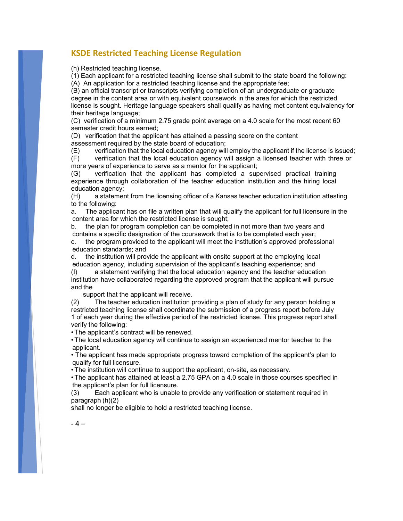# **KSDE Restricted Teaching License Regulation**

(h) Restricted teaching license.

(1) Each applicant for a restricted teaching license shall submit to the state board the following:

 $(A)$  An application for a restricted teaching license and the appropriate fee;

(B) an official transcript or transcripts verifying completion of an undergraduate or graduate degree in the content area or with equivalent coursework in the area for which the restricted license is sought. Heritage language speakers shall qualify as having met content equivalency for their heritage language;

(C) verification of a minimum 2.75 grade point average on a 4.0 scale for the most recent 60 semester credit hours earned;

(D) verification that the applicant has attained a passing score on the content assessment required by the state board of education;

(E) verification that the local education agency will employ the applicant if the license is issued;

(F) verification that the local education agency will assign a licensed teacher with three or more years of experience to serve as a mentor for the applicant;

(G) verification that the applicant has completed a supervised practical training experience through collaboration of the teacher education institution and the hiring local education agency;

(H) a statement from the licensing officer of a Kansas teacher education institution attesting to the following:

a. The applicant has on file a written plan that will qualify the applicant for full licensure in the content area for which the restricted license is sought;

b. the plan for program completion can be completed in not more than two years and contains a specific designation of the coursework that is to be completed each year;

c. the program provided to the applicant will meet the institution's approved professional education standards; and

d. the institution will provide the applicant with onsite support at the employing local education agency, including supervision of the applicant's teaching experience; and

(I) a statement verifying that the local education agency and the teacher education institution have collaborated regarding the approved program that the applicant will pursue and the

support that the applicant will receive.

(2) The teacher education institution providing a plan of study for any person holding a restricted teaching license shall coordinate the submission of a progress report before July 1 of each year during the effective period of the restricted license. This progress report shall verify the following:

• The applicant's contract will be renewed.

• The local education agency will continue to assign an experienced mentor teacher to the applicant.

• The applicant has made appropriate progress toward completion of the applicant's plan to qualify for full licensure.

• The institution will continue to support the applicant, on-site, as necessary.

• The applicant has attained at least a 2.75 GPA on a 4.0 scale in those courses specified in the applicant's plan for full licensure.

(3) Each applicant who is unable to provide any verification or statement required in paragraph (h)(2)

shall no longer be eligible to hold a restricted teaching license.

 $-4-$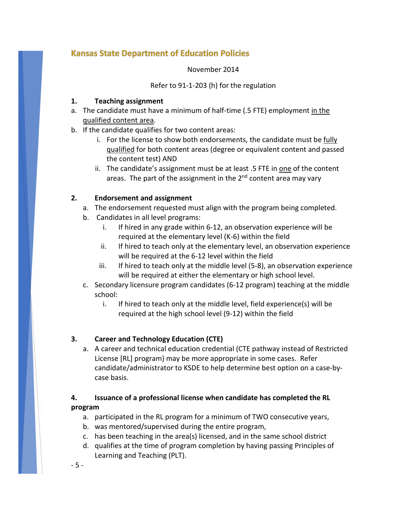# **Kansas State Department of Education Policies**

#### November 2014

Refer to 91-1-203 (h) for the regulation

# **1. Teaching assignment**

- a. The candidate must have a minimum of half-time (.5 FTE) employment in the qualified content area.
- b. If the candidate qualifies for two content areas:
	- i. For the license to show both endorsements, the candidate must be  $\frac{f \cdot f}{g}$ qualified for both content areas (degree or equivalent content and passed the content test) AND
	- ii. The candidate's assignment must be at least .5 FTE in one of the content areas. The part of the assignment in the  $2<sup>nd</sup>$  content area may vary

# **2. Endorsement and assignment**

- a. The endorsement requested must align with the program being completed.
- b. Candidates in all level programs:
	- i. If hired in any grade within 6-12, an observation experience will be required at the elementary level (K-6) within the field
	- ii. If hired to teach only at the elementary level, an observation experience will be required at the 6-12 level within the field
	- iii. If hired to teach only at the middle level (5-8), an observation experience will be required at either the elementary or high school level.
- c. Secondary licensure program candidates (6-12 program) teaching at the middle school:
	- i. If hired to teach only at the middle level, field experience(s) will be required at the high school level (9-12) within the field

# **3. Career and Technology Education (CTE)**

a. A career and technical education credential (CTE pathway instead of Restricted License [RL] program) may be more appropriate in some cases. Refer candidate/administrator to KSDE to help determine best option on a case-bycase basis.

# **4. Issuance of a professional license when candidate has completed the RL program**

- a. participated in the RL program for a minimum of TWO consecutive years,
- b. was mentored/supervised during the entire program,
- c. has been teaching in the area(s) licensed, and in the same school district
- d. qualifies at the time of program completion by having passing Principles of Learning and Teaching (PLT).

- 5 -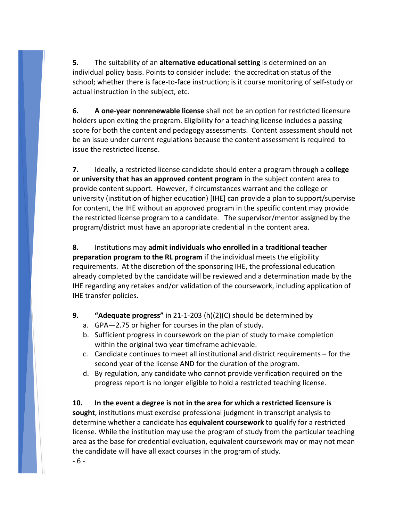**5.** The suitability of an **alternative educational setting** is determined on an individual policy basis. Points to consider include: the accreditation status of the school; whether there is face-to-face instruction; is it course monitoring of self-study or actual instruction in the subject, etc.

**6. A one-year nonrenewable license** shall not be an option for restricted licensure holders upon exiting the program. Eligibility for a teaching license includes a passing score for both the content and pedagogy assessments. Content assessment should not be an issue under current regulations because the content assessment is required to issue the restricted license.

**7.** Ideally, a restricted license candidate should enter a program through a **college or university that has an approved content program** in the subject content area to provide content support. However, if circumstances warrant and the college or university (institution of higher education) [IHE] can provide a plan to support/supervise for content, the IHE without an approved program in the specific content may provide the restricted license program to a candidate. The supervisor/mentor assigned by the program/district must have an appropriate credential in the content area.

**8.** Institutions may **admit individuals who enrolled in a traditional teacher preparation program to the RL program** if the individual meets the eligibility requirements. At the discretion of the sponsoring IHE, the professional education already completed by the candidate will be reviewed and a determination made by the IHE regarding any retakes and/or validation of the coursework, including application of IHE transfer policies.

- **9. "Adequate progress"** in 21-1-203 (h)(2)(C) should be determined by
	- a. GPA—2.75 or higher for courses in the plan of study.
	- b. Sufficient progress in coursework on the plan of study to make completion within the original two year timeframe achievable.
	- c. Candidate continues to meet all institutional and district requirements for the second year of the license AND for the duration of the program.
	- d. By regulation, any candidate who cannot provide verification required on the progress report is no longer eligible to hold a restricted teaching license.

**10. In the event a degree is not in the area for which a restricted licensure is sought**, institutions must exercise professional judgment in transcript analysis to determine whether a candidate has **equivalent coursework** to qualify for a restricted license. While the institution may use the program of study from the particular teaching area as the base for credential evaluation, equivalent coursework may or may not mean the candidate will have all exact courses in the program of study.

- 6 -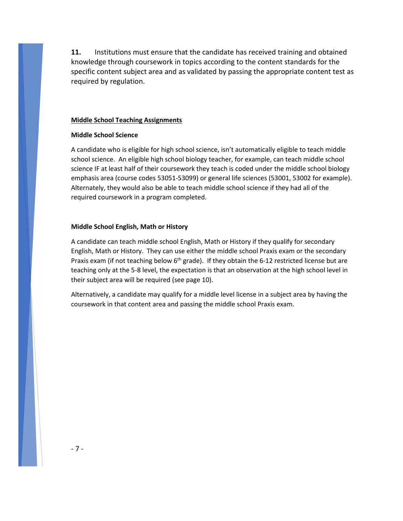**11.** Institutions must ensure that the candidate has received training and obtained knowledge through coursework in topics according to the content standards for the specific content subject area and as validated by passing the appropriate content test as required by regulation.

#### **Middle School Teaching Assignments**

#### **Middle School Science**

A candidate who is eligible for high school science, isn't automatically eligible to teach middle school science. An eligible high school biology teacher, for example, can teach middle school science IF at least half of their coursework they teach is coded under the middle school biology emphasis area (course codes 53051-53099) or general life sciences (53001, 53002 for example). Alternately, they would also be able to teach middle school science if they had all of the required coursework in a program completed.

#### **Middle School English, Math or History**

A candidate can teach middle school English, Math or History if they qualify for secondary English, Math or History. They can use either the middle school Praxis exam or the secondary Praxis exam (if not teaching below  $6<sup>th</sup>$  grade). If they obtain the 6-12 restricted license but are teaching only at the 5-8 level, the expectation is that an observation at the high school level in their subject area will be required (see page 10).

Alternatively, a candidate may qualify for a middle level license in a subject area by having the coursework in that content area and passing the middle school Praxis exam.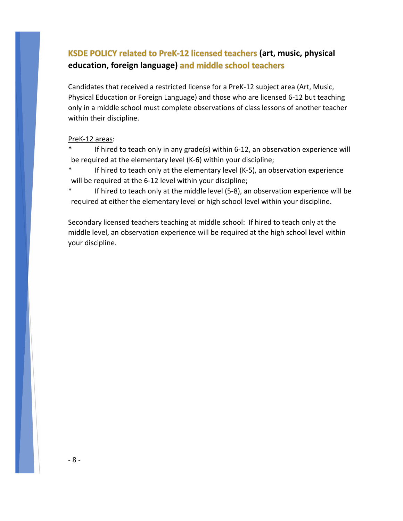# **KSDE POLICY related to PreK-12 licensed teachers (art, music, physical education, foreign language)**

Candidates that received a restricted license for a PreK-12 subject area (Art, Music, Physical Education or Foreign Language) and those who are licensed 6-12 but teaching only in a middle school must complete observations of class lessons of another teacher within their discipline.

## PreK-12 areas:

If hired to teach only in any grade(s) within 6-12, an observation experience will be required at the elementary level (K-6) within your discipline;

If hired to teach only at the elementary level (K-5), an observation experience will be required at the 6-12 level within your discipline;

If hired to teach only at the middle level (5-8), an observation experience will be required at either the elementary level or high school level within your discipline.

Secondary licensed teachers teaching at middle school: If hired to teach only at the middle level, an observation experience will be required at the high school level within your discipline.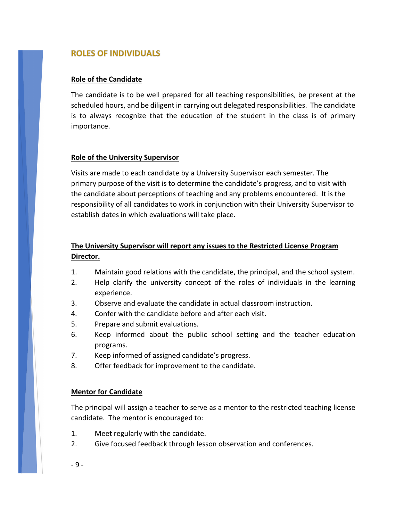# **ROLES OF INDIVIDUALS**

# **Role of the Candidate**

The candidate is to be well prepared for all teaching responsibilities, be present at the scheduled hours, and be diligent in carrying out delegated responsibilities. The candidate is to always recognize that the education of the student in the class is of primary importance.

# **Role of the University Supervisor**

Visits are made to each candidate by a University Supervisor each semester. The primary purpose of the visit is to determine the candidate's progress, and to visit with the candidate about perceptions of teaching and any problems encountered. It is the responsibility of all candidates to work in conjunction with their University Supervisor to establish dates in which evaluations will take place.

# **The University Supervisor will report any issues to the Restricted License Program Director.**

- 1. Maintain good relations with the candidate, the principal, and the school system.
- 2. Help clarify the university concept of the roles of individuals in the learning experience.
- 3. Observe and evaluate the candidate in actual classroom instruction.
- 4. Confer with the candidate before and after each visit.
- 5. Prepare and submit evaluations.
- 6. Keep informed about the public school setting and the teacher education programs.
- 7. Keep informed of assigned candidate's progress.
- 8. Offer feedback for improvement to the candidate.

## **Mentor for Candidate**

The principal will assign a teacher to serve as a mentor to the restricted teaching license candidate. The mentor is encouraged to:

- 1. Meet regularly with the candidate.
- 2. Give focused feedback through lesson observation and conferences.
- 9 -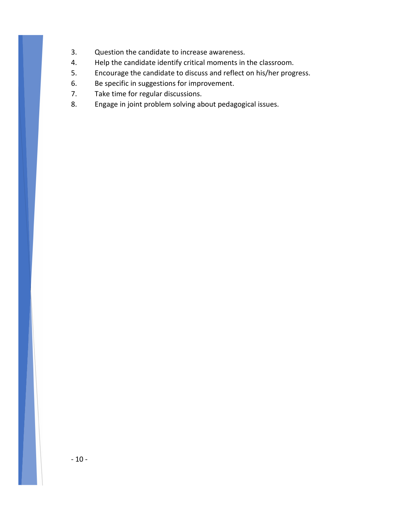- 3. Question the candidate to increase awareness.
- 4. Help the candidate identify critical moments in the classroom.
- 5. Encourage the candidate to discuss and reflect on his/her progress.
- 6. Be specific in suggestions for improvement.
- 7. Take time for regular discussions.
- 8. Engage in joint problem solving about pedagogical issues.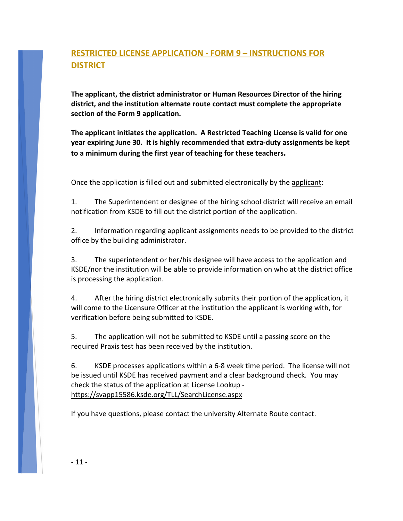# **RESTRICTED LICENSE APPLICATION - FORM 9 – INSTRUCTIONS FOR DISTRICT**

**The applicant, the district administrator or Human Resources Director of the hiring district, and the institution alternate route contact must complete the appropriate section of the Form 9 application.**

**The applicant initiates the application. A Restricted Teaching License is valid for one year expiring June 30. It is highly recommended that extra-duty assignments be kept to a minimum during the first year of teaching for these teachers.**

Once the application is filled out and submitted electronically by the applicant:

1. The Superintendent or designee of the hiring school district will receive an email notification from KSDE to fill out the district portion of the application.

2. Information regarding applicant assignments needs to be provided to the district office by the building administrator.

3. The superintendent or her/his designee will have access to the application and KSDE/nor the institution will be able to provide information on who at the district office is processing the application.

4. After the hiring district electronically submits their portion of the application, it will come to the Licensure Officer at the institution the applicant is working with, for verification before being submitted to KSDE.

5. The application will not be submitted to KSDE until a passing score on the required Praxis test has been received by the institution.

6. KSDE processes applications within a 6-8 week time period. The license will not be issued until KSDE has received payment and a clear background check. You may check the status of the application at License Lookup https://svapp15586.ksde.org/TLL/SearchLicense.aspx

If you have questions, please contact the university Alternate Route contact.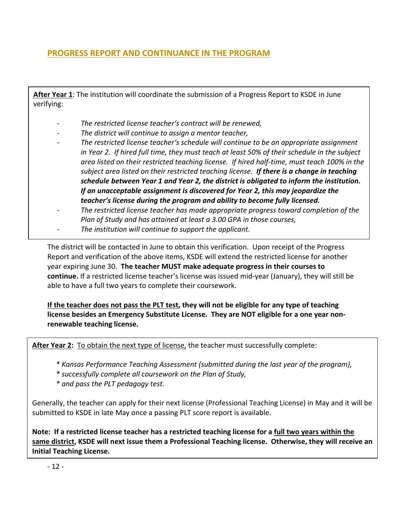# **PROGRESS REPORT AND CONTINUANCE IN THE PROGRAM**

**After Year 1**: The institution will coordinate the submission of a Progress Report to KSDE in June verifying:

- *The restricted license teacher's contract will be renewed,*
- *- The district will continue to assign a mentor teacher,*
- *- The restricted license teacher's schedule will continue to be an appropriate assignment in Year 2. If hired full time, they must teach at least 50% of their schedule in the subject area listed on their restricted teaching license. If hired half-time, must teach 100% in the subject area listed on their restricted teaching license. If there is a change in teaching schedule between Year 1 and Year 2, the district is obligated to inform the institution. If an unacceptable assignment is discovered for Year 2, this may jeopardize the teacher's license during the program and ability to become fully licensed.*
- *- The restricted license teacher has made appropriate progress toward completion of the Plan of Study and has attained at least a 3.00 GPA in those courses,*
- *- The institution will continue to support the applicant.*

The district will be contacted in June to obtain this verification. Upon receipt of the Progress Report and verification of the above items, KSDE will extend the restricted license for another year expiring June 30. **The teacher MUST make adequate progress in their courses to continue.** If a restricted license teacher's license was issued mid-year (January), they will still be able to have a full two years to complete their coursework.

**If the teacher does not pass the PLT test, they will not be eligible for any type of teaching license besides an Emergency Substitute License. They are NOT eligible for a one year nonrenewable teaching license.**

**After Year 2:** To obtain the next type of license, the teacher must successfully complete:

- *\* Kansas Performance Teaching Assessment (submitted during the last year of the program),*
- *\* successfully complete all coursework on the Plan of Study,*
- *\* and pass the PLT pedagogy test.*

Generally, the teacher can apply for their next license (Professional Teaching License) in May and it will be submitted to KSDE in late May once a passing PLT score report is available.

**Note: If a restricted license teacher has a restricted teaching license for a full two years within the same district, KSDE will next issue them a Professional Teaching license. Otherwise, they will receive an Initial Teaching License.**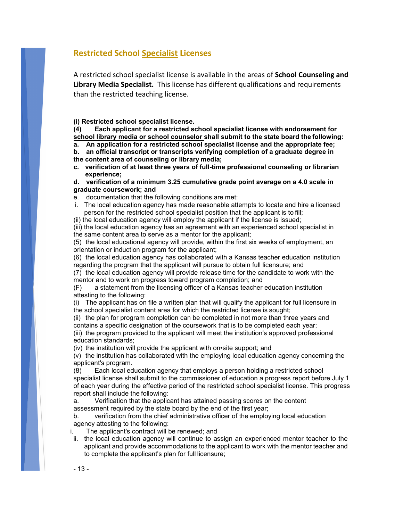# **Restricted School Specialist Licenses**

A restricted school specialist license is available in the areas of **School Counseling and Library Media Specialist.** This license has different qualifications and requirements than the restricted teaching license.

**(i) Restricted school specialist license.**

**(4) Each applicant for a restricted school specialist license with endorsement for school library media or school counselor shall submit to the state board the following:**

**a. An application for a restricted school specialist license and the appropriate fee;**

**b. an official transcript or transcripts verifying completion of a graduate degree in the content area of counseling or library media;**

**c. verification of at least three years of full-time professional counseling or librarian experience;**

**d. verification of a minimum 3.25 cumulative grade point average on a 4.0 scale in graduate coursework; and**

- e. documentation that the following conditions are met:
- i. The local education agency has made reasonable attempts to locate and hire a licensed person for the restricted school specialist position that the applicant is to fill;

(ii) the local education agency will employ the applicant if the license is issued;

(iii) the local education agency has an agreement with an experienced school specialist in the same content area to serve as a mentor for the applicant;

(5) the local educational agency will provide, within the first six weeks of employment, an orientation or induction program for the applicant;

(6) the local education agency has collaborated with a Kansas teacher education institution regarding the program that the applicant will pursue to obtain full licensure; and

(7) the local education agency will provide release time for the candidate to work with the mentor and to work on progress toward program completion; and

(F) a statement from the licensing officer of a Kansas teacher education institution attesting to the following:

(i) The applicant has on file a written plan that will qualify the applicant for full licensure in the school specialist content area for which the restricted license is sought;

(ii) the plan for program completion can be completed in not more than three years and contains a specific designation of the coursework that is to be completed each year;

(iii) the program provided to the applicant will meet the institution's approved professional education standards;

(iv) the institution will provide the applicant with on•site support; and

(v) the institution has collaborated with the employing local education agency concerning the applicant's program.

(8) Each local education agency that employs a person holding a restricted school specialist license shall submit to the commissioner of education a progress report before July 1 of each year during the effective period of the restricted school specialist license. This progress report shall include the following:

a. Verification that the applicant has attained passing scores on the content assessment required by the state board by the end of the first year;

b. verification from the chief administrative officer of the employing local education agency attesting to the following:

i. The applicant's contract will be renewed; and

ii. the local education agency will continue to assign an experienced mentor teacher to the applicant and provide accommodations to the applicant to work with the mentor teacher and to complete the applicant's plan for full licensure;